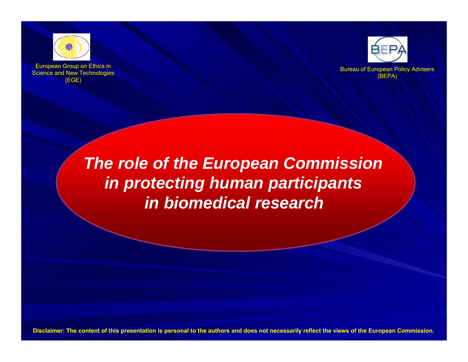

European Group on Ethics in Science and New Technologies (EGE)



Bureau of European Policy Advisers (BEPA)

*The role of the European Commission in protecting human participants in biomedical research*

Disclaimer: The content of this presentation is personal to the authors and does not necessarily reflect the views of the European Commission.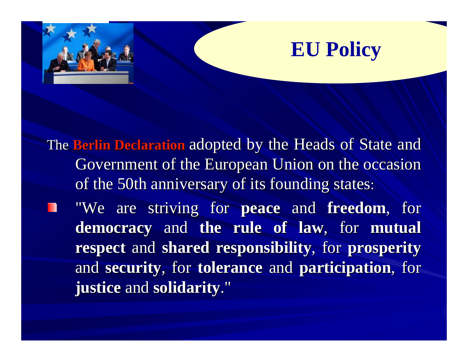



 $\blacksquare$  "We are striving for **peace** and **freedom**, for **democracy** and **the rule of law**, for **mutual respect** and **shared responsibility**, for **prosperity** and **security security**, for **tolerance tolerance** and **participation participation**, for **justice** and **solidarity**."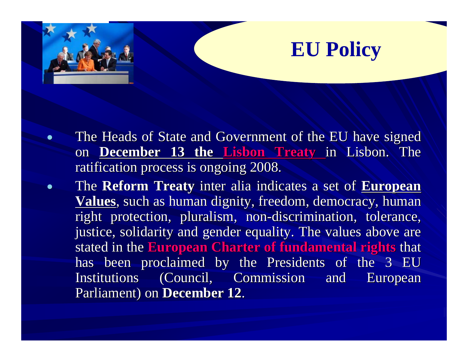

The Heads of State and Government of the EU have signed on **December 13 the Lisbon Treaty** in Lisbon. The ratification process is ongoing 2008.

 $\bullet$ 

 $\bullet$ The **Reform Treaty** inter alia indicates a set of **European Values**, such as human dignity, freedom, democracy, human right protection, pluralism, non-discrimination, tolerance, justice, solidarity and gender equality. The values above are stated in the **European Charter of fundamental rights** that has been proclaimed by the Presidents of the 3 EU Institutions (Council, Commission and European **Parliament) on December 12.**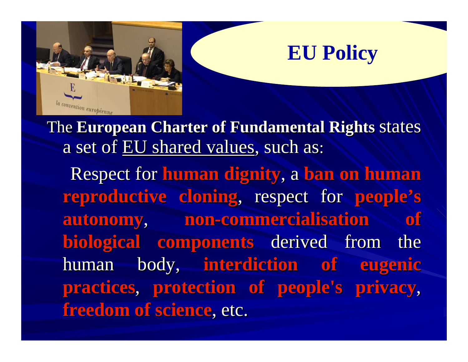

## **EU Policy**

The **European Charter of Fundamental Rights** states a set of EU shared values, such as: Respect for **human dignity**, a **ban on human reproductive cloning**, respect for people's **autonomy autonomy**, **non-commercialisation of commercialisation of biological components** derived from the human body, interdiction of eugenic **practices practices**, **protection of people's privacy protection of people's privacy**, **freedom of science freedom of science**, etc.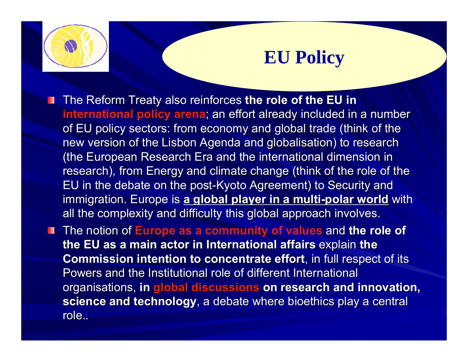## **EU Policy**

- The Reform Treaty also reinforces the role of the EU in international policy arena; an effort already included in a number of EU policy sectors: from economy and global trade (think of the new version of the Lisbon Agenda and globalisation) to research (the European Research Era and the international dimension in research), from Energy and climate change (think of the role of the EU in the debate on the post-Kyoto Agreement) to Security and **i**mmigration. Europe is <u>a global player in a multi-polar world</u> with all the complexity and difficulty this global approach involves.
- The notion of **Europe as a community of values** and **the role of the EU as a main actor in International affairs explain the Commission intention to concentrate effort**, in full respect of its , Powers and the Institutional role of different International organisations, in global discussions on research and innovation, **science and technology**, a debate where bioethics play a central role..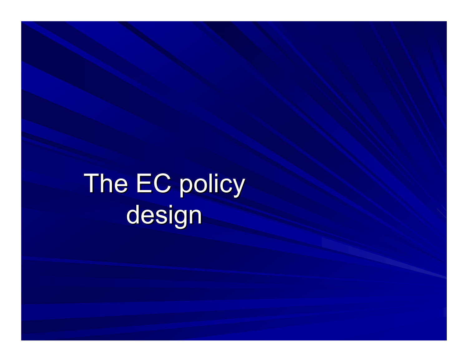The EC policy design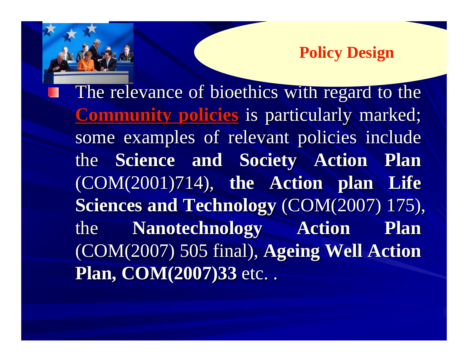### **Policy Design**

The relevance of bioethics with regard to the **Community policies** is particularly marked; some examples of relevant policies include the **Science and Society Action Plan Science and Society Action Plan**  (COM(2001)714), the Action plan Life **Sciences and Technology (COM(2007) 175),** the **Nanotechnology Action Plan Nanotechnology Action Plan**  (COM(2007) 505 final), Ageing Well Action **Plan, COM(2007)33 Plan, COM(2007)33** etc. .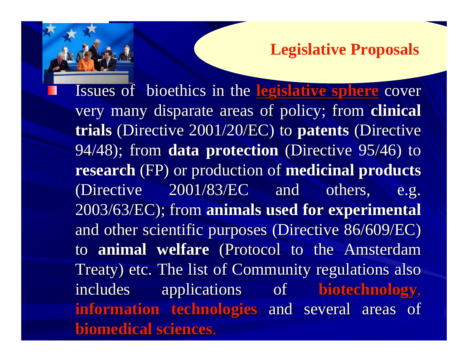### **Legislative Proposals**

**Issues of bioethics in the legislative sphere** cover very many disparate areas of policy; from **clinical trials** (Directive 2001/20/EC) to **patents** (Directive 94/48); from **data protection** (Directive 95/46) to **research** (FP) or production of **medicinal products** (Directive  $2001/83/EC$  and others, e.g. 2003/63/EC); from **animals used for experimental** and other scientific purposes (Directive 86/609/EC) to **animal welfare** (Protocol to the Amsterdam Treaty) etc. The list of Community regulations also includes applications of **biotechnology**, information technologies and several areas of **biomedical sciences biomedical sciences**.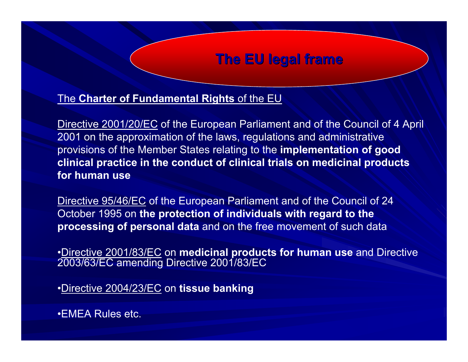#### **The EU legal frame**

The **Charter of Fundamental Rights** of the EU

Directive 2001/20/EC of the European Parliament and of the Council of 4 April 2001 on the approximation of the laws, regulations and administrative provisions of the Member States relating to the **implementation of good clinical practice in the conduct of clinical trials on medicinal products for human use**

Directive 95/46/EC of the European Parliament and of the Council of 24 October 1995 on **the protection of individuals with regard to the processing of personal data** and on the free movement of such data

•Directive 2001/83/EC on **medicinal products for human use** and Directive 2003/63/EC amending Directive 2001/83/EC

•Directive 2004/23/EC on **tissue banking**

•EMEA Rules etc.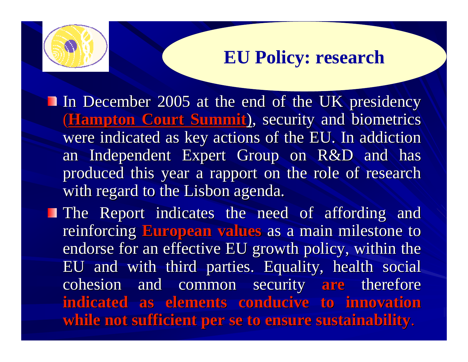

## **EU Policy: research**

In December 2005 at the end of the UK presidency (**Hampton Court Summit**), security and biometrics were indicated as key actions of the EU. In addiction an Independent Expert Group on R&D and has produced this year a rapport on the role of research produced this year a rapport on the role of research with regard to the Lisbon agenda.

The Report indicates the need of affording and The Report indicates the need of affording and reinforcing **European values** as a main milestone to endorse for an effective EU growth policy, within the EU and with third parties. Equality, health social cohesion and common security are therefore **indicated as elements conducive to innovation while not sufficient per se to ensure sustainability while not sufficient per se to ensure sustainability**.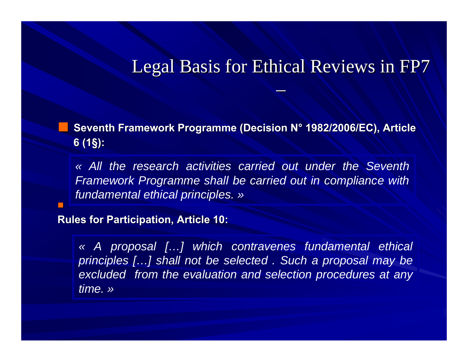## Legal Basis for Ethical Reviews in FP7

 $\mathcal{L}_{\mathcal{A}}$ 

**E. Seventh Framework Programme (Decision N° 1982/2006/EC), Article 6 (1 §):**

*« All the research activities carried out under the Seventh Framework Programme shall be carried out in compliance with fundamental ethical principles. »*

#### **Rules for Participation, Article 10: Rules for Participation, Article 10:**

■

*« A proposal […] which contravenes fundamental ethical principles […] shall not be selected . Such a proposal may be excluded from the evaluation and selection procedures at any time. »*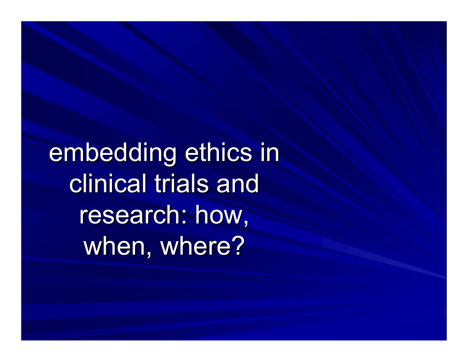embedding ethics in clinical trials and research: how, when, where?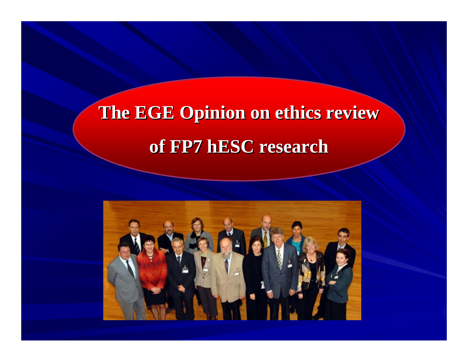# **The EGE Opinion on ethics review of FP7 hESC research**

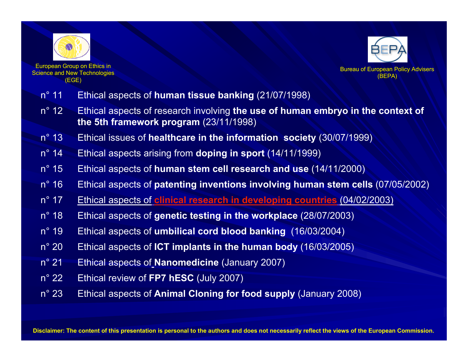

European Group on Ethics in Science and New Technologies (EGE)



**Bureau of European Policy Advisers** (BEPA)

- $n^{\circ}$  11 Ethical aspects of **human tissue banking** (21/07/1998)
- Ethical aspects of research involving **the use of human embryo in the context of the 5th framework program** (23/11/1998)  $n^{\circ}$  12
- $n^{\circ}$  13 Ethical issues of **healthcare in the information society** (30/07/1999)
- $n^{\circ}$  14 Ethical aspects arising from **doping in sport** (14/11/1999)
- n° 15Ethical aspects of **human stem cell research and use** (14/11/2000)
- n° 16Ethical aspects of **patenting inventions involving human stem cells** (07/05/2002)
- n° 17Ethical aspects of **clinical research in developing countries** (04/02/2003)
- n° 18Ethical aspects of **genetic testing in the workplace** (28/07/2003)
- n° 19Ethical aspects of **umbilical cord blood banking** (16/03/2004)
- $n^{\circ}$  20 Ethical aspects of **ICT implants in the human body** (16/03/2005)
- n° 21Ethical aspects of **Nanomedicine** (January 2007)
- $n^{\circ}$  22 Ethical review of **FP7 hESC** (July 2007)
- n° 23Ethical aspects of **Animal Cloning for food supply** (January 2008)

Disclaimer: The content of this presentation is personal to the authors and does not necessarily reflect the views of the European Commission.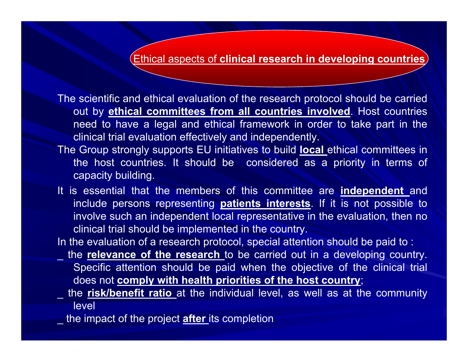Ethical aspects of **clinical research in developing countries**

The scientific and ethical evaluation of the research protocol should be carried out by **ethical committees from all countries involved**. Host countries need to have a legal and ethical framework in order to take part in the clinical trial evaluation effectively and independently.

- The Group strongly supports EU initiatives to build **local** ethical committees in the host countries. It should be considered as a priority in terms of capacity building.
- It is essential that the members of this committee are **independent** and include persons representing **patients interests**. If it is not possible to involve such an independent local representative in the evaluation, then no clinical trial should be implemented in the country.

In the evaluation of a research protocol, special attention should be paid to :

- the **relevance of the research** to be carried out in a developing country. Specific attention should be paid when the objective of the clinical trial does not **comply with health priorities of the host country**;
- \_ the **risk/benefit ratio** at the individual level, as well as at the community level
- \_ the impact of the project **after** its completion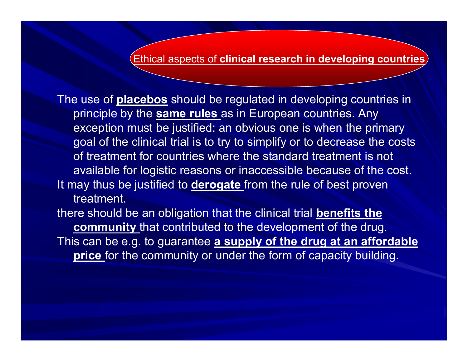Ethical aspects of **clinical research in developing countries**

The use of **placebos** should be regulated in developing countries in principle by the **same rules** as in European countries. Any exception must be justified: an obvious one is when the primary goal of the clinical trial is to try to simplify or to decrease the costs of treatment for countries where the standard treatment is not available for logistic reasons or inaccessible because of the cost. It may thus be justified to **derogate** from the rule of best proven treatment. there should be an obligation that the clinical trial **benefits the community** that contributed to the development of the drug.

This can be e.g. to guarantee **a supply of the drug at an affordable** 

**price** for the community or under the form of capacity building.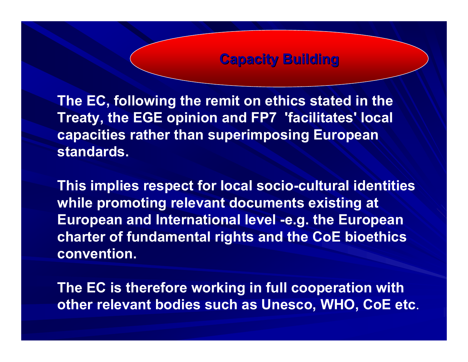#### **Capacity Capacity Building Building**

**The EC, following the remit on ethics stated in the Treaty, the EGE opinion and FP7 'facilitates' local capacities rather than superimposing European standards.**

**This implies respect for local socio-cultural identities while promoting relevant documents existing at European and International level -e.g. the European charter of fundamental rights and the CoE bioethics convention.** 

**The EC is therefore working in full cooperation with other relevant bodies such as Unesco, WHO, CoE etc**.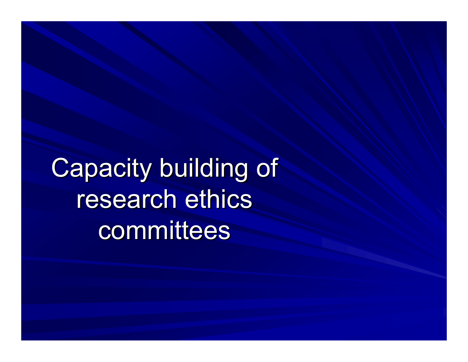Capacity building of research ethics committees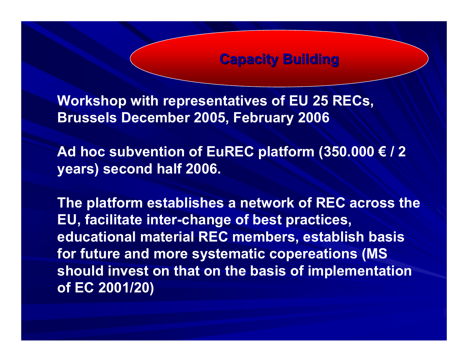**Workshop with representatives of EU 25 RECs, Brussels December 2005, February 2006**

**Ad hoc subvention of EuREC platform (350.000 € / 2 years) second half 2006.**

**The platform establishes a network of REC across the EU, facilitate inter-change of best practices, educational material REC members, establish basis for future and more systematic copereations (MS should invest on that on the basis of implementation of EC 2001/20)**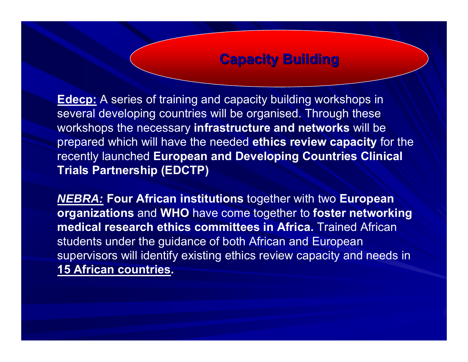#### **Capacity Building Capacity Building**

**Edecp:** A series of training and capacity building workshops in several developing countries will be organised. Through these workshops the necessary **infrastructure and networks** will be prepared which will have the needed **ethics review capacity** for the recently launched **European and Developing Countries Clinical Trials Partnership (EDCTP)** 

*NEBRA:* **Four African institutions** together with two **European organizations** and **WHO** have come together to **foster networking medical research ethics committees in Africa.** Trained African students under the guidance of both African and European supervisors will identify existing ethics review capacity and needs in **15 African countries.**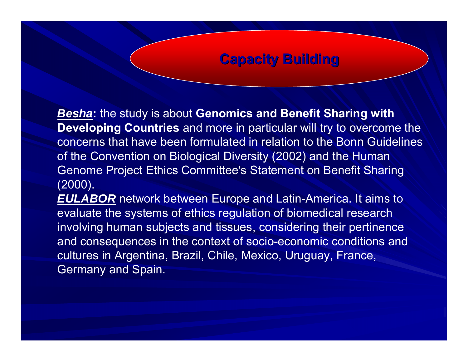#### **Capacity Capacity Building Building**

*Besha***:** the study is about **Genomics and Benefit Sharing with Developing Countries** and more in particular will try to overcome the concerns that have been formulated in relation to the Bonn Guidelines of the Convention on Biological Diversity (2002) and the Human Genome Project Ethics Committee's Statement on Benefit Sharing (2000).

*EULABOR* network between Europe and Latin-America. It aims to evaluate the systems of ethics regulation of biomedical research involving human subjects and tissues, considering their pertinence and consequences in the context of socio-economic conditions and cultures in Argentina, Brazil, Chile, Mexico, Uruguay, France, Germany and Spain.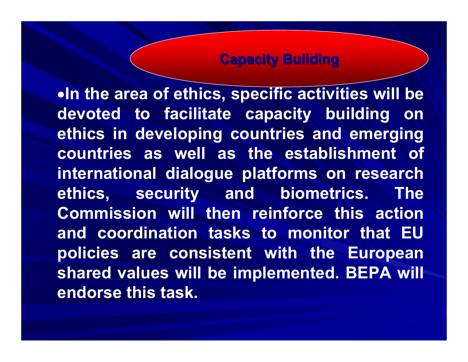#### **Capacity Capacity Building Building**

•**In the area of ethics, specific activities will be devoted to facilitate capacity building on ethics in developing countries and emerging countries as well as the establishment of international dialogue platforms on research ethics, security and biometrics. The Commission will then reinforce this action and coordination tasks to monitor that EU policies are consistent with the European shared values will be implemented. BEPA will endorse this task.**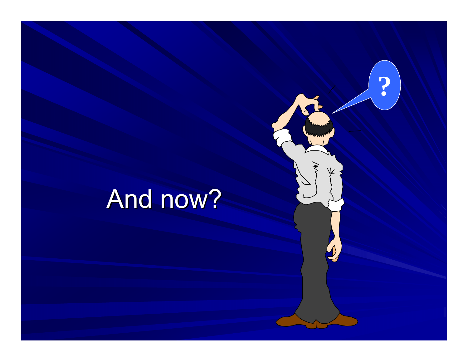# And now?

**?**

 $\gtrless$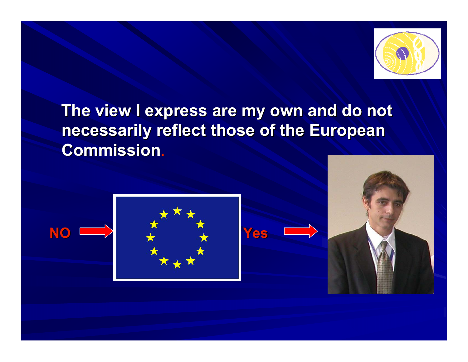

**The view I express are my own and do not necessarily reflect those of the European Commission Commission.**



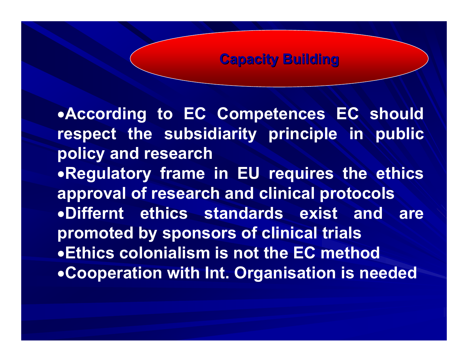**Capacity Building** 

•**According to EC Competences EC should respect the subsidiarity principle in public policy and research** •**Regulatory frame in EU requires the ethics approval of research and clinical protocols** •**Differnt ethics standards exist and are promoted by sponsors of clinical trials** •**Ethics colonialism is not the EC method**•**Cooperation with Int. Organisation is needed**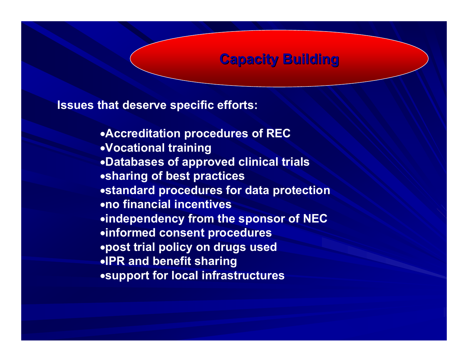#### **Capacity Building**

**Issues that deserve specific efforts:**

•**Accreditation procedures of REC** •**Vocational training** •**Databases of approved clinical trials** •**sharing of best practices** •**standard procedures for data protection** •**no financial incentives**•**independency from the sponsor of NEC** •**informed consent procedures** •**post trial policy on drugs used** •**IPR and benefit sharing** •**support for local infrastructures**